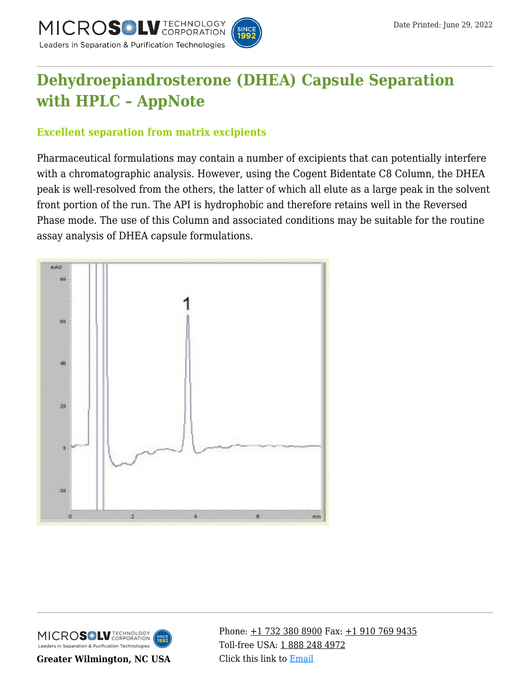



# **[Dehydroepiandrosterone \(DHEA\) Capsule Separation](https://kb.mtc-usa.com/article/aa-03038/46/) [with HPLC – AppNote](https://kb.mtc-usa.com/article/aa-03038/46/)**

## **Excellent separation from matrix excipients**

Pharmaceutical formulations may contain a number of excipients that can potentially interfere with a chromatographic analysis. However, using the Cogent Bidentate C8 Column, the DHEA peak is well-resolved from the others, the latter of which all elute as a large peak in the solvent front portion of the run. The API is hydrophobic and therefore retains well in the Reversed Phase mode. The use of this Column and associated conditions may be suitable for the routine assay analysis of DHEA capsule formulations.





**Greater Wilmington, NC USA**

Phone:  $\pm$ 1 732 380 8900 Fax:  $\pm$ 1 910 769 9435 Toll-free USA: [1 888 248 4972](#page--1-0) Click this link to [Email](https://www.mtc-usa.com/contact)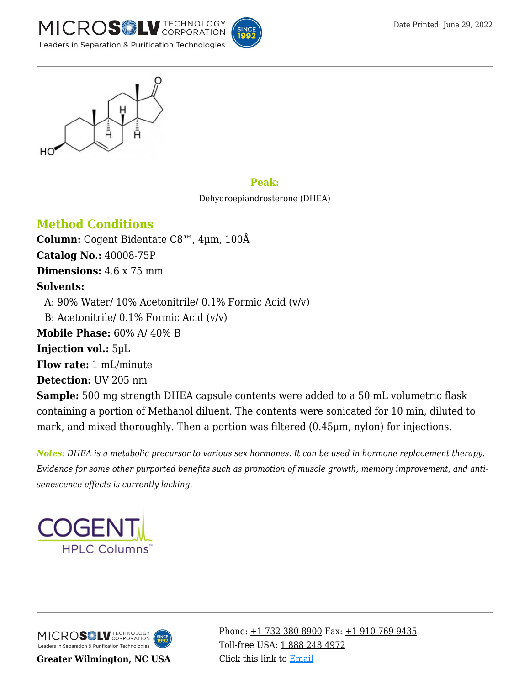



#### **Peak:**

Dehydroepiandrosterone (DHEA)

# **Method Conditions**

**Column:** Cogent Bidentate C8™, 4µm, 100Å **Catalog No.:** 40008-75P **Dimensions:** 4.6 x 75 mm **Solvents:** – A: 90% Water/ 10% Acetonitrile/ 0.1% Formic Acid (v/v) – B: Acetonitrile/ 0.1% Formic Acid (v/v) **Mobile Phase:** 60% A/ 40% B **Injection vol.:** 5µL **Flow rate:** 1 mL/minute **Detection:** UV 205 nm **Sample:** 500 mg strength DHEA capsule contents were added to a 50 mL volumetric flask containing a portion of Methanol diluent. The contents were sonicated for 10 min, diluted to mark, and mixed thoroughly. Then a portion was filtered (0.45µm, nylon) for injections.

*Notes: DHEA is a metabolic precursor to various sex hormones. It can be used in hormone replacement therapy. Evidence for some other purported benefits such as promotion of muscle growth, memory improvement, and antisenescence effects is currently lacking.*



MICROS<sup>OL</sup> LU TECHNOLOGY Leaders in Separation & Purification Technologies

**Greater Wilmington, NC USA**

Phone:  $\pm$ 1 732 380 8900 Fax:  $\pm$ 1 910 769 9435 Toll-free USA: [1 888 248 4972](#page--1-0) Click this link to [Email](https://www.mtc-usa.com/contact)